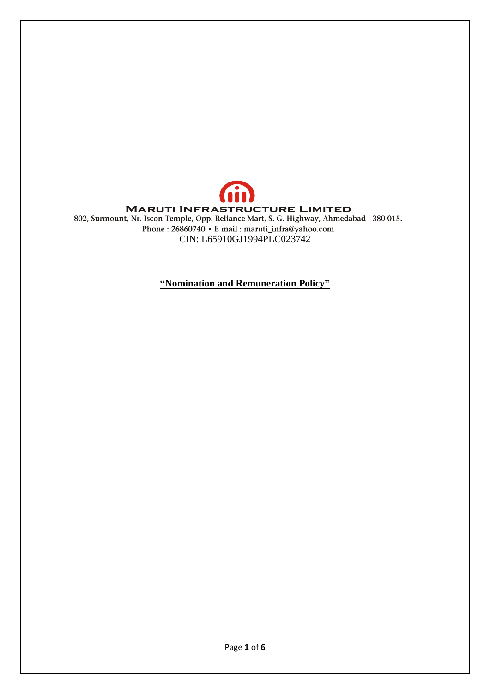**MARUTI INFRASTRUCTURE LIMITED** 802, Surmount, Nr. Iscon Temple, Opp. Reliance Mart, S. G. Highway, Ahmedabad - 380 015. Phone: 26860740 • E-mail: maruti\_infra@yahoo.com CIN: L65910GJ1994PLC023742

**"Nomination and Remuneration Policy"**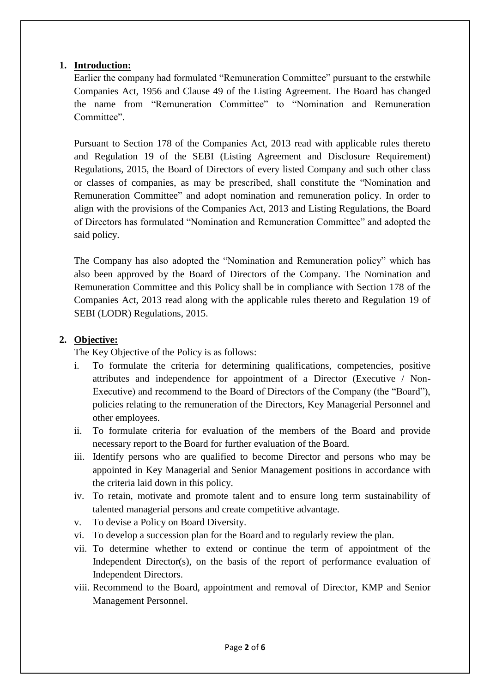# **1. Introduction:**

Earlier the company had formulated "Remuneration Committee" pursuant to the erstwhile Companies Act, 1956 and Clause 49 of the Listing Agreement. The Board has changed the name from "Remuneration Committee" to "Nomination and Remuneration Committee".

Pursuant to Section 178 of the Companies Act, 2013 read with applicable rules thereto and Regulation 19 of the SEBI (Listing Agreement and Disclosure Requirement) Regulations, 2015, the Board of Directors of every listed Company and such other class or classes of companies, as may be prescribed, shall constitute the "Nomination and Remuneration Committee" and adopt nomination and remuneration policy. In order to align with the provisions of the Companies Act, 2013 and Listing Regulations, the Board of Directors has formulated "Nomination and Remuneration Committee" and adopted the said policy.

The Company has also adopted the "Nomination and Remuneration policy" which has also been approved by the Board of Directors of the Company. The Nomination and Remuneration Committee and this Policy shall be in compliance with Section 178 of the Companies Act, 2013 read along with the applicable rules thereto and Regulation 19 of SEBI (LODR) Regulations, 2015.

# **2. Objective:**

The Key Objective of the Policy is as follows:

- i. To formulate the criteria for determining qualifications, competencies, positive attributes and independence for appointment of a Director (Executive / Non-Executive) and recommend to the Board of Directors of the Company (the "Board"), policies relating to the remuneration of the Directors, Key Managerial Personnel and other employees.
- ii. To formulate criteria for evaluation of the members of the Board and provide necessary report to the Board for further evaluation of the Board.
- iii. Identify persons who are qualified to become Director and persons who may be appointed in Key Managerial and Senior Management positions in accordance with the criteria laid down in this policy.
- iv. To retain, motivate and promote talent and to ensure long term sustainability of talented managerial persons and create competitive advantage.
- v. To devise a Policy on Board Diversity.
- vi. To develop a succession plan for the Board and to regularly review the plan.
- vii. To determine whether to extend or continue the term of appointment of the Independent Director(s), on the basis of the report of performance evaluation of Independent Directors.
- viii. Recommend to the Board, appointment and removal of Director, KMP and Senior Management Personnel.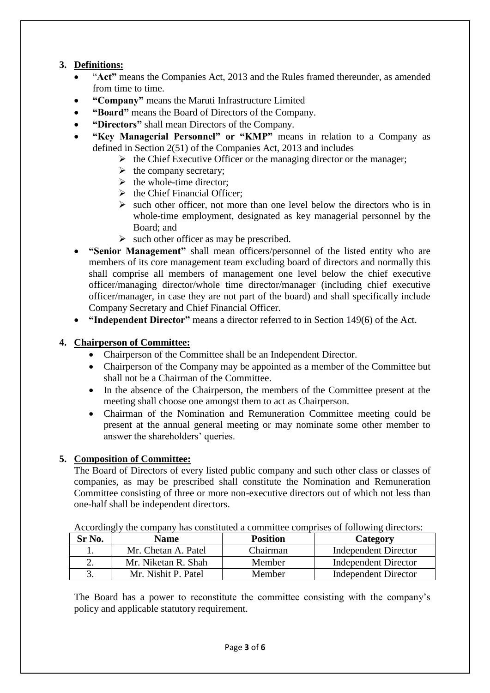# **3. Definitions:**

- "**Act"** means the Companies Act, 2013 and the Rules framed thereunder, as amended from time to time.
- **"Company"** means the Maruti Infrastructure Limited
- **"Board"** means the Board of Directors of the Company.
- **"Directors"** shall mean Directors of the Company.
- **"Key Managerial Personnel" or "KMP"** means in relation to a Company as defined in Section 2(51) of the Companies Act, 2013 and includes
	- $\triangleright$  the Chief Executive Officer or the managing director or the manager;
	- $\triangleright$  the company secretary;
	- $\triangleright$  the whole-time director:
	- $\triangleright$  the Chief Financial Officer;
	- $\triangleright$  such other officer, not more than one level below the directors who is in whole-time employment, designated as key managerial personnel by the Board; and
	- $\triangleright$  such other officer as may be prescribed.
- **"Senior Management"** shall mean officers/personnel of the listed entity who are members of its core management team excluding board of directors and normally this shall comprise all members of management one level below the chief executive officer/managing director/whole time director/manager (including chief executive officer/manager, in case they are not part of the board) and shall specifically include Company Secretary and Chief Financial Officer.
- **"Independent Director"** means a director referred to in Section 149(6) of the Act.

# **4. Chairperson of Committee:**

- Chairperson of the Committee shall be an Independent Director.
- Chairperson of the Company may be appointed as a member of the Committee but shall not be a Chairman of the Committee.
- In the absence of the Chairperson, the members of the Committee present at the meeting shall choose one amongst them to act as Chairperson.
- Chairman of the Nomination and Remuneration Committee meeting could be present at the annual general meeting or may nominate some other member to answer the shareholders' queries.

# **5. Composition of Committee:**

The Board of Directors of every listed public company and such other class or classes of companies, as may be prescribed shall constitute the Nomination and Remuneration Committee consisting of three or more non-executive directors out of which not less than one-half shall be independent directors.

| Trecordingly the company has constituted a committee comprises of following uncelors. |                     |                 |                             |
|---------------------------------------------------------------------------------------|---------------------|-----------------|-----------------------------|
| Sr No.                                                                                | <b>Name</b>         | <b>Position</b> | Category                    |
|                                                                                       | Mr. Chetan A. Patel | Chairman        | <b>Independent Director</b> |
| ۷.                                                                                    | Mr. Niketan R. Shah | Member          | <b>Independent Director</b> |
| ິ.                                                                                    | Mr. Nishit P. Patel | Member          | <b>Independent Director</b> |

Accordingly the company has constituted a committee comprises of following directors:

The Board has a power to reconstitute the committee consisting with the company's policy and applicable statutory requirement.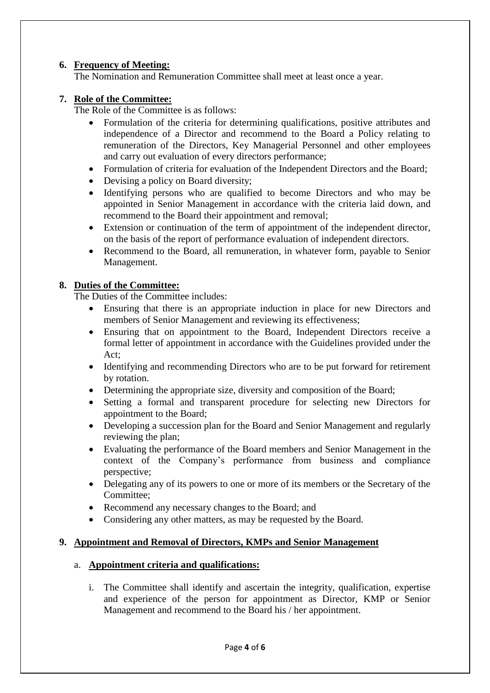# **6. Frequency of Meeting:**

The Nomination and Remuneration Committee shall meet at least once a year.

## **7. Role of the Committee:**

The Role of the Committee is as follows:

- Formulation of the criteria for determining qualifications, positive attributes and independence of a Director and recommend to the Board a Policy relating to remuneration of the Directors, Key Managerial Personnel and other employees and carry out evaluation of every directors performance;
- Formulation of criteria for evaluation of the Independent Directors and the Board;
- Devising a policy on Board diversity;
- Identifying persons who are qualified to become Directors and who may be appointed in Senior Management in accordance with the criteria laid down, and recommend to the Board their appointment and removal;
- Extension or continuation of the term of appointment of the independent director, on the basis of the report of performance evaluation of independent directors.
- Recommend to the Board, all remuneration, in whatever form, payable to Senior Management.

### **8. Duties of the Committee:**

The Duties of the Committee includes:

- Ensuring that there is an appropriate induction in place for new Directors and members of Senior Management and reviewing its effectiveness;
- Ensuring that on appointment to the Board, Independent Directors receive a formal letter of appointment in accordance with the Guidelines provided under the Act;
- Identifying and recommending Directors who are to be put forward for retirement by rotation.
- Determining the appropriate size, diversity and composition of the Board;
- Setting a formal and transparent procedure for selecting new Directors for appointment to the Board;
- Developing a succession plan for the Board and Senior Management and regularly reviewing the plan;
- Evaluating the performance of the Board members and Senior Management in the context of the Company's performance from business and compliance perspective;
- Delegating any of its powers to one or more of its members or the Secretary of the Committee;
- Recommend any necessary changes to the Board; and
- Considering any other matters, as may be requested by the Board.

### **9. Appointment and Removal of Directors, KMPs and Senior Management**

## a. **Appointment criteria and qualifications:**

i. The Committee shall identify and ascertain the integrity, qualification, expertise and experience of the person for appointment as Director, KMP or Senior Management and recommend to the Board his / her appointment.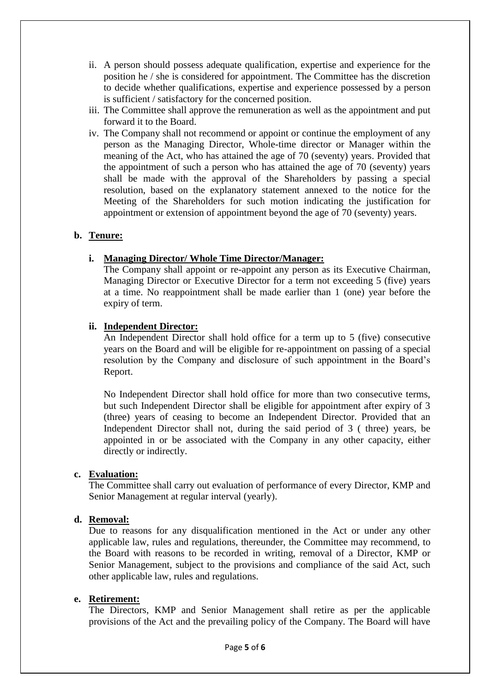- ii. A person should possess adequate qualification, expertise and experience for the position he / she is considered for appointment. The Committee has the discretion to decide whether qualifications, expertise and experience possessed by a person is sufficient / satisfactory for the concerned position.
- iii. The Committee shall approve the remuneration as well as the appointment and put forward it to the Board.
- iv. The Company shall not recommend or appoint or continue the employment of any person as the Managing Director, Whole-time director or Manager within the meaning of the Act, who has attained the age of 70 (seventy) years. Provided that the appointment of such a person who has attained the age of 70 (seventy) years shall be made with the approval of the Shareholders by passing a special resolution, based on the explanatory statement annexed to the notice for the Meeting of the Shareholders for such motion indicating the justification for appointment or extension of appointment beyond the age of 70 (seventy) years.

## **b. Tenure:**

### **i. Managing Director/ Whole Time Director/Manager:**

The Company shall appoint or re-appoint any person as its Executive Chairman, Managing Director or Executive Director for a term not exceeding 5 (five) years at a time. No reappointment shall be made earlier than 1 (one) year before the expiry of term.

### **ii. Independent Director:**

An Independent Director shall hold office for a term up to 5 (five) consecutive years on the Board and will be eligible for re-appointment on passing of a special resolution by the Company and disclosure of such appointment in the Board's Report.

No Independent Director shall hold office for more than two consecutive terms, but such Independent Director shall be eligible for appointment after expiry of 3 (three) years of ceasing to become an Independent Director. Provided that an Independent Director shall not, during the said period of 3 ( three) years, be appointed in or be associated with the Company in any other capacity, either directly or indirectly.

### **c. Evaluation:**

The Committee shall carry out evaluation of performance of every Director, KMP and Senior Management at regular interval (yearly).

### **d. Removal:**

Due to reasons for any disqualification mentioned in the Act or under any other applicable law, rules and regulations, thereunder, the Committee may recommend, to the Board with reasons to be recorded in writing, removal of a Director, KMP or Senior Management, subject to the provisions and compliance of the said Act, such other applicable law, rules and regulations.

### **e. Retirement:**

The Directors, KMP and Senior Management shall retire as per the applicable provisions of the Act and the prevailing policy of the Company. The Board will have